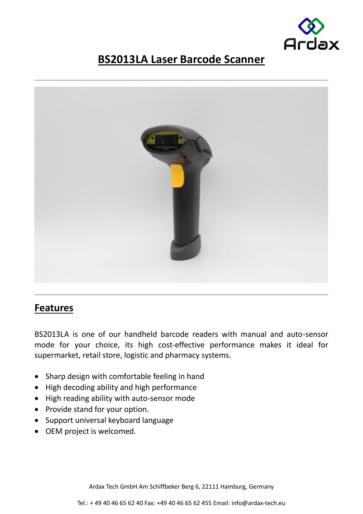

## **BS2013LA Laser Barcode Scanner**



## **Features**

BS2013LA is one of our handheld barcode readers with manual and auto-sensor mode for your choice, its high cost-effective performance makes it ideal for supermarket, retail store, logistic and pharmacy systems.

- Sharp design with comfortable feeling in hand
- High decoding ability and high performance
- High reading ability with auto-sensor mode
- Provide stand for your option.
- Support universal keyboard language
- OEM project is welcomed.

Ardax Tech GmbH Am Schiffbeker Berg 6, 22111 Hamburg, Germany